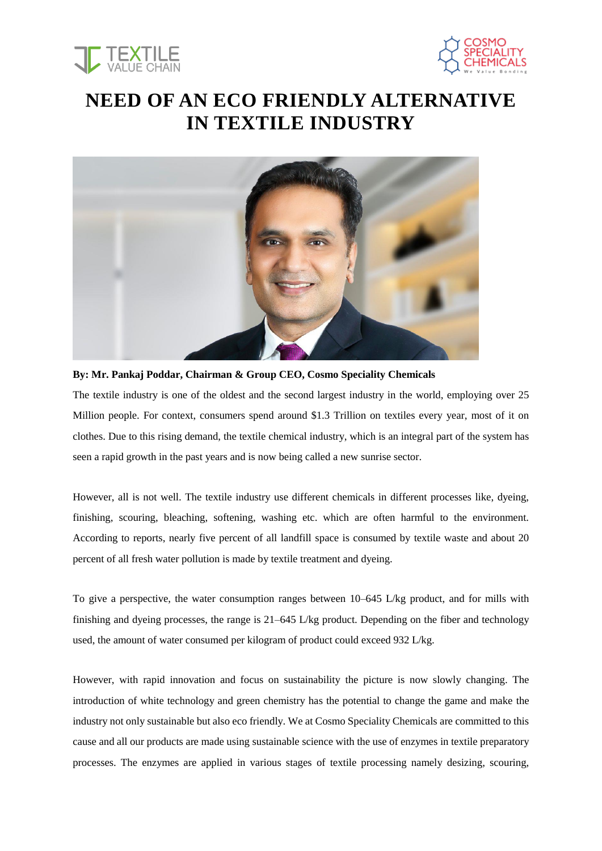



## **NEED OF AN ECO FRIENDLY ALTERNATIVE IN TEXTILE INDUSTRY**



**By: Mr. Pankaj Poddar, Chairman & Group CEO, Cosmo Speciality Chemicals**

The textile industry is one of the oldest and the second largest industry in the world, employing over 25 Million people. For context, consumers spend around \$1.3 Trillion on textiles every year, most of it on clothes. Due to this rising demand, the textile chemical industry, which is an integral part of the system has seen a rapid growth in the past years and is now being called a new sunrise sector.

However, all is not well. The textile industry use different chemicals in different processes like, dyeing, finishing, scouring, bleaching, softening, washing etc. which are often harmful to the environment. According to reports, nearly five percent of all landfill space is consumed by textile waste and about 20 percent of all fresh water pollution is made by textile treatment and dyeing.

To give a perspective, the water consumption ranges between 10–645 L/kg product, and for mills with finishing and dyeing processes, the range is 21–645 L/kg product. Depending on the fiber and technology used, the amount of water consumed per kilogram of product could exceed 932 L/kg.

However, with rapid innovation and focus on sustainability the picture is now slowly changing. The introduction of white technology and green chemistry has the potential to change the game and make the industry not only sustainable but also eco friendly. We at Cosmo Speciality Chemicals are committed to this cause and all our products are made using sustainable science with the use of enzymes in textile preparatory processes. The enzymes are applied in various stages of textile processing namely desizing, scouring,